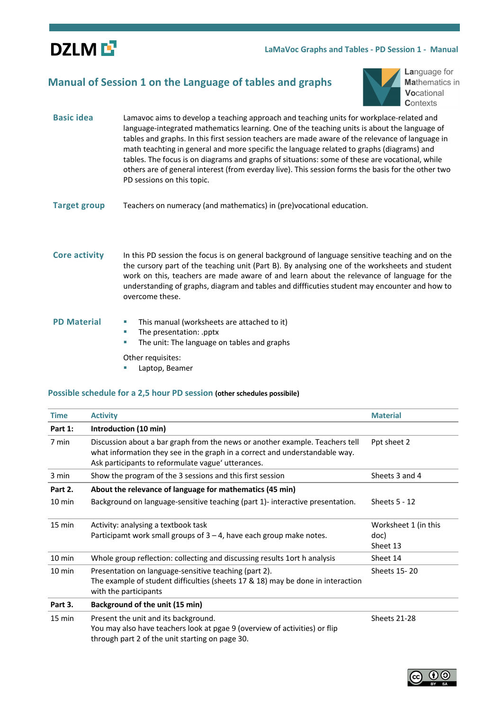

## **LaMaVoc Graphs and Tables - PD Session 1 - Manual**

## **Manual of Session 1 on the Language of tables and graphs**



Language for **Mathematics in** Vocational Contexts

- **Basic idea** Lamavoc aims to develop a teaching approach and teaching units for workplace-related and language-integrated mathematics learning. One of the teaching units is about the language of tables and graphs. In this first session teachers are made aware of the relevance of language in math teachting in general and more specific the language related to graphs (diagrams) and tables. The focus is on diagrams and graphs of situations: some of these are vocational, while others are of general interest (from everday live). This session forms the basis for the other two PD sessions on this topic.
- **Target group** Teachers on numeracy (and mathematics) in (pre)vocational education.

## **Core activity** In this PD session the focus is on general background of language sensitive teaching and on the the cursory part of the teaching unit (Part B). By analysing one of the worksheets and student work on this, teachers are made aware of and learn about the relevance of language for the understanding of graphs, diagram and tables and diffficuties student may encounter and how to overcome these.

- **PD Material ••** This manual (worksheets are attached to it)
	- § The presentation: .pptx
	- **•** The unit: The language on tables and graphs
	- Other requisites:
		- § Laptop, Beamer

#### **Possible schedule for a 2,5 hour PD session (other schedules possibile)**

| <b>Time</b>      | <b>Activity</b>                                                                                                                                                                                                   | <b>Material</b>                          |  |
|------------------|-------------------------------------------------------------------------------------------------------------------------------------------------------------------------------------------------------------------|------------------------------------------|--|
| Part 1:          | Introduction (10 min)                                                                                                                                                                                             |                                          |  |
| 7 min            | Discussion about a bar graph from the news or another example. Teachers tell<br>what information they see in the graph in a correct and understandable way.<br>Ask participants to reformulate vague' utterances. | Ppt sheet 2                              |  |
| 3 min            | Show the program of the 3 sessions and this first session                                                                                                                                                         | Sheets 3 and 4                           |  |
| Part 2.          | About the relevance of language for mathematics (45 min)                                                                                                                                                          |                                          |  |
| $10 \text{ min}$ | Background on language-sensitive teaching (part 1)-interactive presentation.                                                                                                                                      | Sheets $5 - 12$                          |  |
| 15 min           | Activity: analysing a textbook task<br>Participamt work small groups of $3 - 4$ , have each group make notes.                                                                                                     | Worksheet 1 (in this<br>doc)<br>Sheet 13 |  |
| 10 min           | Whole group reflection: collecting and discussing results 1 ort h analysis                                                                                                                                        | Sheet 14                                 |  |
| 10 min           | Presentation on language-sensitive teaching (part 2).<br>The example of student difficulties (sheets 17 & 18) may be done in interaction<br>with the participants                                                 | Sheets 15-20                             |  |
| Part 3.          | Background of the unit (15 min)                                                                                                                                                                                   |                                          |  |
| 15 min           | Present the unit and its background.<br>You may also have teachers look at pgae 9 (overview of activities) or flip<br>through part 2 of the unit starting on page 30.                                             | <b>Sheets 21-28</b>                      |  |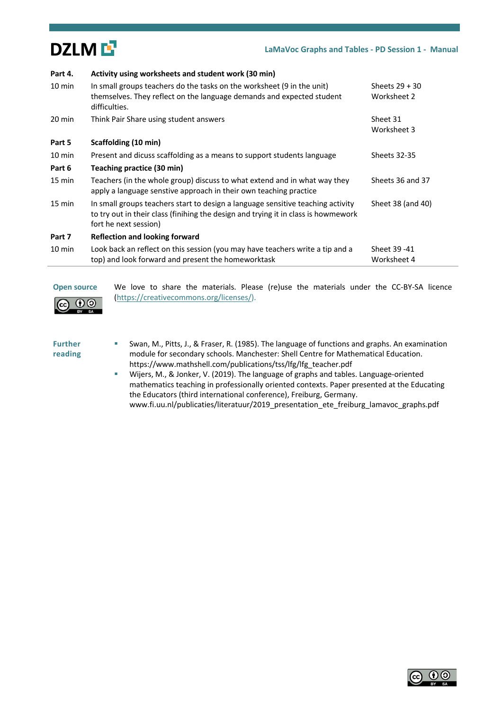

| Part 4.          | Activity using worksheets and student work (30 min)                                                                                                                                            |                                 |
|------------------|------------------------------------------------------------------------------------------------------------------------------------------------------------------------------------------------|---------------------------------|
| $10 \text{ min}$ | In small groups teachers do the tasks on the worksheet (9 in the unit)<br>themselves. They reflect on the language demands and expected student<br>difficulties.                               | Sheets $29 + 30$<br>Worksheet 2 |
| 20 min           | Think Pair Share using student answers                                                                                                                                                         | Sheet 31<br>Worksheet 3         |
| Part 5           | Scaffolding (10 min)                                                                                                                                                                           |                                 |
| $10 \text{ min}$ | Present and dicuss scaffolding as a means to support students language                                                                                                                         | <b>Sheets 32-35</b>             |
| Part 6           | Teaching practice (30 min)                                                                                                                                                                     |                                 |
| 15 min           | Teachers (in the whole group) discuss to what extend and in what way they<br>apply a language senstive approach in their own teaching practice                                                 | Sheets 36 and 37                |
| 15 min           | In small groups teachers start to design a language sensitive teaching activity<br>to try out in their class (finihing the design and trying it in class is howmework<br>fort he next session) | Sheet 38 (and 40)               |
| Part 7           | <b>Reflection and looking forward</b>                                                                                                                                                          |                                 |
| $10 \text{ min}$ | Look back an reflect on this session (you may have teachers write a tip and a<br>top) and look forward and present the homeworktask                                                            | Sheet 39 - 41<br>Worksheet 4    |

 $\odot$ 

**Open source** We love to share the materials. Please (re)use the materials under the CC-BY-SA licence (https://creativecommons.org/licenses/).

#### **Further reading**

<sub>cc</sub>

- Swan, M., Pitts, J., & Fraser, R. (1985). The language of functions and graphs. An examination module for secondary schools. Manchester: Shell Centre for Mathematical Education. https://www.mathshell.com/publications/tss/lfg/lfg\_teacher.pdf
	- § Wijers, M., & Jonker, V. (2019). The language of graphs and tables. Language-oriented mathematics teaching in professionally oriented contexts. Paper presented at the Educating the Educators (third international conference), Freiburg, Germany. www.fi.uu.nl/publicaties/literatuur/2019\_presentation\_ete\_freiburg\_lamavoc\_graphs.pdf

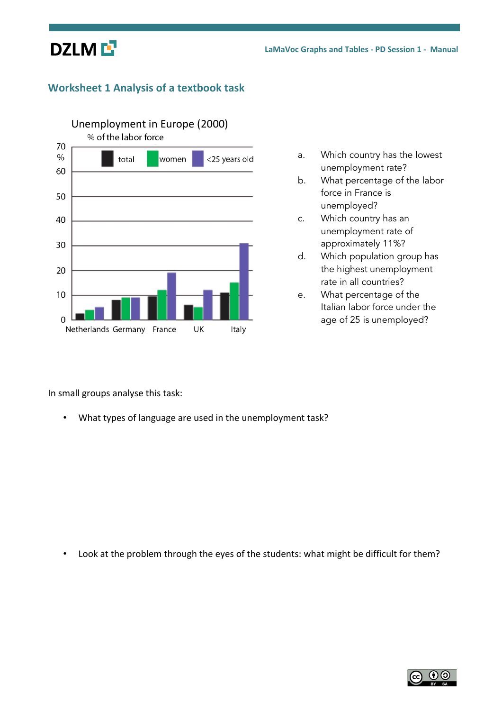

# **Worksheet 1 Analysis of a textbook task**



- a. Which country has the lowest unemployment rate?
- b. What percentage of the labor force in France is unemployed?
- c. Which country has an unemployment rate of approximately 11%?
- d. Which population group has the highest unemployment rate in all countries?
- e. What percentage of the Italian labor force under the age of 25 is unemployed?

In small groups analyse this task:

• What types of language are used in the unemployment task?

• Look at the problem through the eyes of the students: what might be difficult for them?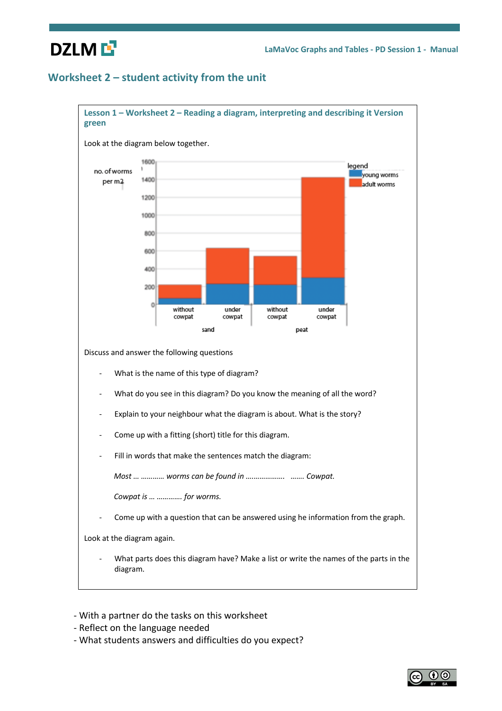# **DZLME**

# **Worksheet 2 – student activity from the unit**



- With a partner do the tasks on this worksheet
- Reflect on the language needed
- What students answers and difficulties do you expect?

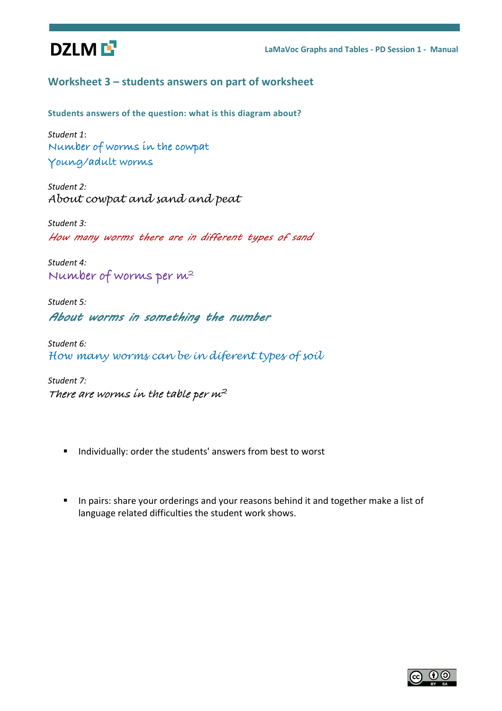

# **Worksheet 3 – students answers on part of worksheet**

**Students answers of the question: what is this diagram about?**

*Student 1*: **Number of worms in the cowpat Young/adult worms**

*Student 2: About cowpat and sand and peat* 

*Student 3:* How many worms there are in different types of sand

*Student 4:* **Number of worms per m2**

*Student 5:* About worms in something the number

*Student 6: How many worms can be in diferent types of soil*

*Student 7:* **There are worms in the table per m<sup>2</sup>**

- Individually: order the students' answers from best to worst
- In pairs: share your orderings and your reasons behind it and together make a list of language related difficulties the student work shows.